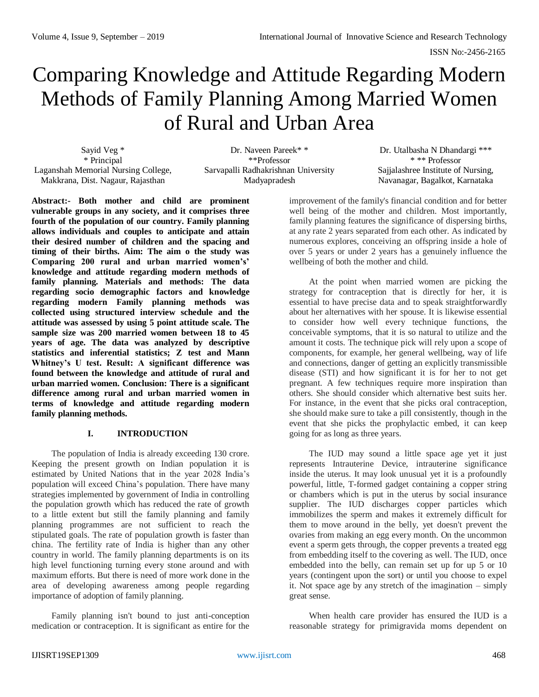# Comparing Knowledge and Attitude Regarding Modern Methods of Family Planning Among Married Women of Rural and Urban Area

Sayid Veg \* \* Principal Laganshah Memorial Nursing College, Makkrana, Dist. Nagaur, Rajasthan

Dr. Naveen Pareek\* \* \*\*Professor Sarvapalli Radhakrishnan University Madyapradesh

Dr. Utalbasha N Dhandargi \*\*\* \* \*\* Professor Sajjalashree Institute of Nursing, Navanagar, Bagalkot, Karnataka

**Abstract:- Both mother and child are prominent vulnerable groups in any society, and it comprises three fourth of the population of our country. Family planning allows individuals and couples to anticipate and attain their desired number of children and the spacing and timing of their births. Aim: The aim o the study was Comparing 200 rural and urban married women's' knowledge and attitude regarding modern methods of family planning. Materials and methods: The data regarding socio demographic factors and knowledge regarding modern Family planning methods was collected using structured interview schedule and the attitude was assessed by using 5 point attitude scale. The sample size was 200 married women between 18 to 45 years of age. The data was analyzed by descriptive statistics and inferential statistics; Z test and Mann Whitney's U test. Result: A significant difference was found between the knowledge and attitude of rural and urban married women. Conclusion: There is a significant difference among rural and urban married women in terms of knowledge and attitude regarding modern family planning methods.**

# **I. INTRODUCTION**

The population of India is already exceeding 130 crore. Keeping the present growth on Indian population it is estimated by United Nations that in the year 2028 India's population will exceed China's population. There have many strategies implemented by government of India in controlling the population growth which has reduced the rate of growth to a little extent but still the family planning and family planning programmes are not sufficient to reach the stipulated goals. The rate of population growth is faster than china. The fertility rate of India is higher than any other country in world. The family planning departments is on its high level functioning turning every stone around and with maximum efforts. But there is need of more work done in the area of developing awareness among people regarding importance of adoption of family planning.

Family planning isn't bound to just anti-conception medication or contraception. It is significant as entire for the improvement of the family's financial condition and for better well being of the mother and children. Most importantly, family planning features the significance of dispersing births, at any rate 2 years separated from each other. As indicated by numerous explores, conceiving an offspring inside a hole of over 5 years or under 2 years has a genuinely influence the wellbeing of both the mother and child.

At the point when married women are picking the strategy for contraception that is directly for her, it is essential to have precise data and to speak straightforwardly about her alternatives with her spouse. It is likewise essential to consider how well every technique functions, the conceivable symptoms, that it is so natural to utilize and the amount it costs. The technique pick will rely upon a scope of components, for example, her general wellbeing, way of life and connections, danger of getting an explicitly transmissible disease (STI) and how significant it is for her to not get pregnant. A few techniques require more inspiration than others. She should consider which alternative best suits her. For instance, in the event that she picks oral contraception, she should make sure to take a pill consistently, though in the event that she picks the prophylactic embed, it can keep going for as long as three years.

The IUD may sound a little space age yet it just represents Intrauterine Device, intrauterine significance inside the uterus. It may look unusual yet it is a profoundly powerful, little, T-formed gadget containing a copper string or chambers which is put in the uterus by social insurance supplier. The IUD discharges copper particles which immobilizes the sperm and makes it extremely difficult for them to move around in the belly, yet doesn't prevent the ovaries from making an egg every month. On the uncommon event a sperm gets through, the copper prevents a treated egg from embedding itself to the covering as well. The IUD, once embedded into the belly, can remain set up for up 5 or 10 years (contingent upon the sort) or until you choose to expel it. Not space age by any stretch of the imagination – simply great sense.

When health care provider has ensured the IUD is a reasonable strategy for primigravida moms dependent on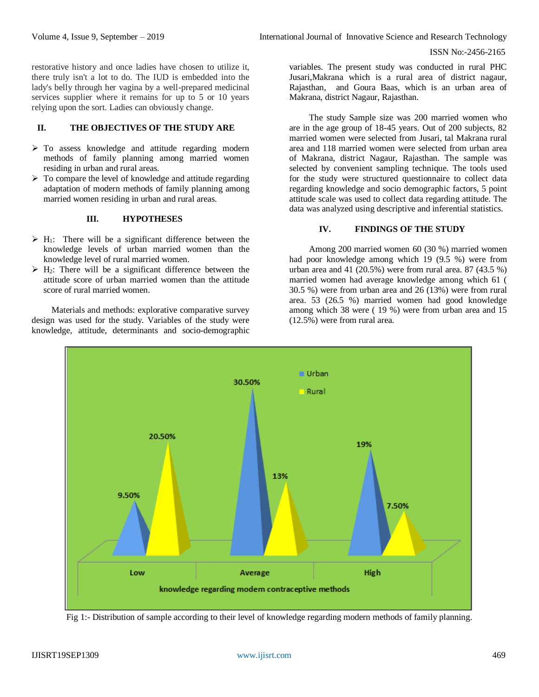restorative history and once ladies have chosen to utilize it, there truly isn't a lot to do. The IUD is embedded into the lady's belly through her vagina by a well-prepared medicinal services supplier where it remains for up to 5 or 10 years relying upon the sort. Ladies can obviously change.

# **II. THE OBJECTIVES OF THE STUDY ARE**

- $\triangleright$  To assess knowledge and attitude regarding modern methods of family planning among married women residing in urban and rural areas.
- $\triangleright$  To compare the level of knowledge and attitude regarding adaptation of modern methods of family planning among married women residing in urban and rural areas.

# **III. HYPOTHESES**

- $\triangleright$  H<sub>1</sub>: There will be a significant difference between the knowledge levels of urban married women than the knowledge level of rural married women.
- $\triangleright$  H<sub>2</sub>: There will be a significant difference between the attitude score of urban married women than the attitude score of rural married women.

Materials and methods: explorative comparative survey design was used for the study. Variables of the study were knowledge, attitude, determinants and socio-demographic variables. The present study was conducted in rural PHC Jusari,Makrana which is a rural area of district nagaur, Rajasthan, and Goura Baas, which is an urban area of Makrana, district Nagaur, Rajasthan.

The study Sample size was 200 married women who are in the age group of 18-45 years. Out of 200 subjects, 82 married women were selected from Jusari, tal Makrana rural area and 118 married women were selected from urban area of Makrana, district Nagaur, Rajasthan. The sample was selected by convenient sampling technique. The tools used for the study were structured questionnaire to collect data regarding knowledge and socio demographic factors, 5 point attitude scale was used to collect data regarding attitude. The data was analyzed using descriptive and inferential statistics.

# **IV. FINDINGS OF THE STUDY**

Among 200 married women 60 (30 %) married women had poor knowledge among which 19 (9.5 %) were from urban area and 41 (20.5%) were from rural area. 87 (43.5 %) married women had average knowledge among which 61 ( 30.5 %) were from urban area and 26 (13%) were from rural area. 53 (26.5 %) married women had good knowledge among which 38 were ( 19 %) were from urban area and 15 (12.5%) were from rural area.



Fig 1:- Distribution of sample according to their level of knowledge regarding modern methods of family planning.